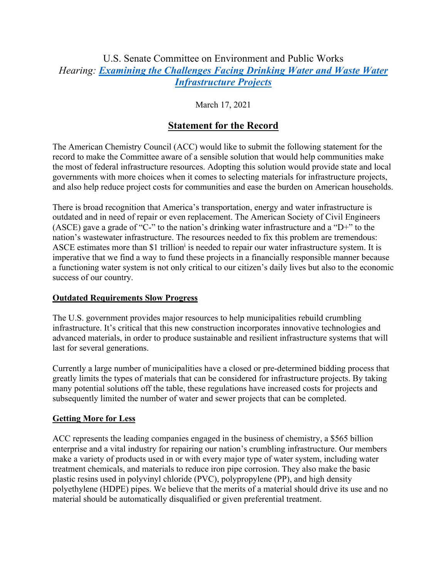## U.S. Senate Committee on Environment and Public Works *Hearing: Examining the Challenges Facing Drinking Water and Waste Water Infrastructure Projects*

## March 17, 2021

# **Statement for the Record**

The American Chemistry Council (ACC) would like to submit the following statement for the record to make the Committee aware of a sensible solution that would help communities make the most of federal infrastructure resources. Adopting this solution would provide state and local governments with more choices when it comes to selecting materials for infrastructure projects, and also help reduce project costs for communities and ease the burden on American households.

There is broad recognition that America's transportation, energy and water infrastructure is outdated and in need of repair or even replacement. The American Society of Civil Engineers (ASCE) gave a grade of "C-" to the nation's drinking water infrastructure and a "D+" to the nation's wastewater infrastructure. The resources needed to fix this problem are tremendous: ASCE estimates more than \$1 trillion<sup>i</sup> is needed to repair our water infrastructure system. It is imperative that we find a way to fund these projects in a financially responsible manner because a functioning water system is not only critical to our citizen's daily lives but also to the economic success of our country.

#### **Outdated Requirements Slow Progress**

The U.S. government provides major resources to help municipalities rebuild crumbling infrastructure. It's critical that this new construction incorporates innovative technologies and advanced materials, in order to produce sustainable and resilient infrastructure systems that will last for several generations.

Currently a large number of municipalities have a closed or pre-determined bidding process that greatly limits the types of materials that can be considered for infrastructure projects. By taking many potential solutions off the table, these regulations have increased costs for projects and subsequently limited the number of water and sewer projects that can be completed.

#### **Getting More for Less**

ACC represents the leading companies engaged in the business of chemistry, a \$565 billion enterprise and a vital industry for repairing our nation's crumbling infrastructure. Our members make a variety of products used in or with every major type of water system, including water treatment chemicals, and materials to reduce iron pipe corrosion. They also make the basic plastic resins used in polyvinyl chloride (PVC), polypropylene (PP), and high density polyethylene (HDPE) pipes. We believe that the merits of a material should drive its use and no material should be automatically disqualified or given preferential treatment.